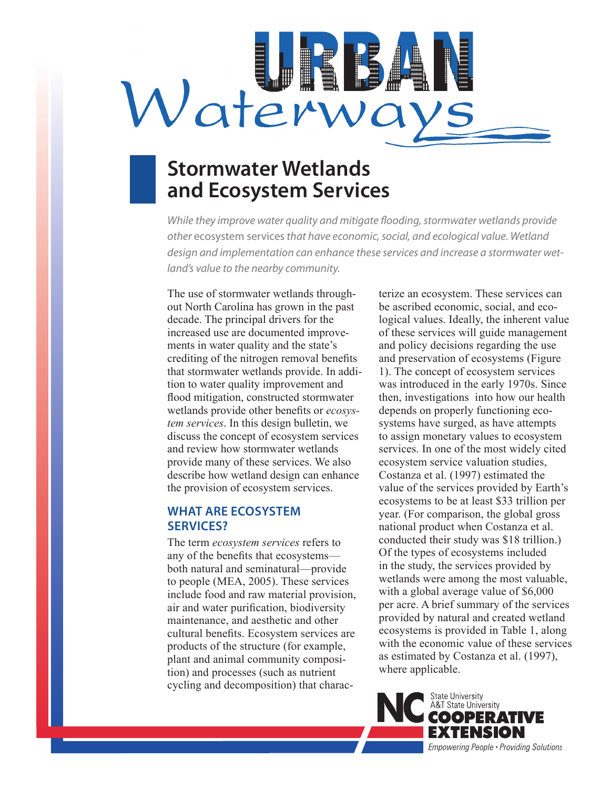

# **Stormwater Wetlands and Ecosystem Services**

*While they improve water quality and mitigate flooding, stormwater wetlands provide other* ecosystem services *that have economic, social, and ecological value. Wetland design and implementation can enhance these services and increase a stormwater wetland's value to the nearby community.* 

The use of stormwater wetlands throughout North Carolina has grown in the past decade. The principal drivers for the increased use are documented improvements in water quality and the state's crediting of the nitrogen removal benefits that stormwater wetlands provide. In addition to water quality improvement and flood mitigation, constructed stormwater wetlands provide other benefits or *ecosystem services*. In this design bulletin, we discuss the concept of ecosystem services and review how stormwater wetlands provide many of these services. We also describe how wetland design can enhance the provision of ecosystem services.

# **WHAT ARE ECOSYSTEM SERVICES?**

The term *ecosystem services* refers to any of the benefits that ecosystems both natural and seminatural—provide to people (MEA, 2005). These services include food and raw material provision, air and water purification, biodiversity maintenance, and aesthetic and other cultural benefits. Ecosystem services are products of the structure (for example, plant and animal community composition) and processes (such as nutrient cycling and decomposition) that characterize an ecosystem. These services can be ascribed economic, social, and ecological values. Ideally, the inherent value of these services will guide management and policy decisions regarding the use and preservation of ecosystems (Figure 1). The concept of ecosystem services was introduced in the early 1970s. Since then, investigations into how our health depends on properly functioning ecosystems have surged, as have attempts to assign monetary values to ecosystem services. In one of the most widely cited ecosystem service valuation studies, Costanza et al. (1997) estimated the value of the services provided by Earth's ecosystems to be at least \$33 trillion per year. (For comparison, the global gross national product when Costanza et al. conducted their study was \$18 trillion.) Of the types of ecosystems included in the study, the services provided by wetlands were among the most valuable, with a global average value of \$6,000 per acre. A brief summary of the services provided by natural and created wetland ecosystems is provided in Table 1, along with the economic value of these services as estimated by Costanza et al. (1997), where applicable.

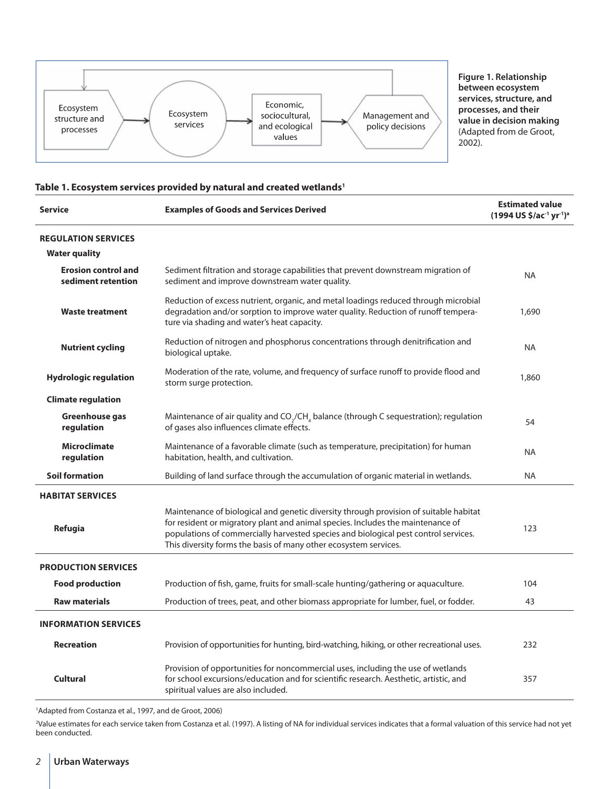

**Figure 1. Relationship between ecosystem services, structure, and processes, and their value in decision making** (Adapted from de Groot, 2002).

#### **Table 1. Ecosystem services provided by natural and created wetlands1**

| <b>Service</b>                                     | <b>Examples of Goods and Services Derived</b>                                                                                                                                                                                                                                                                                              | <b>Estimated value</b><br>(1994 US \$/ac <sup>-1</sup> yr <sup>-1</sup> ) <sup>a</sup> |
|----------------------------------------------------|--------------------------------------------------------------------------------------------------------------------------------------------------------------------------------------------------------------------------------------------------------------------------------------------------------------------------------------------|----------------------------------------------------------------------------------------|
| <b>REGULATION SERVICES</b><br><b>Water quality</b> |                                                                                                                                                                                                                                                                                                                                            |                                                                                        |
| <b>Erosion control and</b><br>sediment retention   | Sediment filtration and storage capabilities that prevent downstream migration of<br>sediment and improve downstream water quality.                                                                                                                                                                                                        | <b>NA</b>                                                                              |
| <b>Waste treatment</b>                             | Reduction of excess nutrient, organic, and metal loadings reduced through microbial<br>degradation and/or sorption to improve water quality. Reduction of runoff tempera-<br>ture via shading and water's heat capacity.                                                                                                                   | 1,690                                                                                  |
| <b>Nutrient cycling</b>                            | Reduction of nitrogen and phosphorus concentrations through denitrification and<br>biological uptake.                                                                                                                                                                                                                                      | <b>NA</b>                                                                              |
| <b>Hydrologic regulation</b>                       | Moderation of the rate, volume, and frequency of surface runoff to provide flood and<br>storm surge protection.                                                                                                                                                                                                                            | 1,860                                                                                  |
| <b>Climate regulation</b>                          |                                                                                                                                                                                                                                                                                                                                            |                                                                                        |
| Greenhouse gas<br>regulation                       | Maintenance of air quality and $CO_7$ /CH <sub>4</sub> balance (through C sequestration); regulation<br>of gases also influences climate effects.                                                                                                                                                                                          | 54                                                                                     |
| <b>Microclimate</b><br>regulation                  | Maintenance of a favorable climate (such as temperature, precipitation) for human<br>habitation, health, and cultivation.                                                                                                                                                                                                                  | <b>NA</b>                                                                              |
| <b>Soil formation</b>                              | Building of land surface through the accumulation of organic material in wetlands.                                                                                                                                                                                                                                                         | <b>NA</b>                                                                              |
| <b>HABITAT SERVICES</b>                            |                                                                                                                                                                                                                                                                                                                                            |                                                                                        |
| Refugia                                            | Maintenance of biological and genetic diversity through provision of suitable habitat<br>for resident or migratory plant and animal species. Includes the maintenance of<br>123<br>populations of commercially harvested species and biological pest control services.<br>This diversity forms the basis of many other ecosystem services. |                                                                                        |
| <b>PRODUCTION SERVICES</b>                         |                                                                                                                                                                                                                                                                                                                                            |                                                                                        |
| <b>Food production</b>                             | Production of fish, game, fruits for small-scale hunting/gathering or aquaculture.                                                                                                                                                                                                                                                         | 104                                                                                    |
| <b>Raw materials</b>                               | Production of trees, peat, and other biomass appropriate for lumber, fuel, or fodder.                                                                                                                                                                                                                                                      | 43                                                                                     |
| <b>INFORMATION SERVICES</b>                        |                                                                                                                                                                                                                                                                                                                                            |                                                                                        |
| <b>Recreation</b>                                  | Provision of opportunities for hunting, bird-watching, hiking, or other recreational uses.                                                                                                                                                                                                                                                 | 232                                                                                    |
| <b>Cultural</b>                                    | Provision of opportunities for noncommercial uses, including the use of wetlands<br>for school excursions/education and for scientific research. Aesthetic, artistic, and<br>357<br>spiritual values are also included.                                                                                                                    |                                                                                        |

<sup>1</sup>Adapted from Costanza et al., 1997, and de Groot, 2006)

2 Value estimates for each service taken from Costanza et al. (1997). A listing of NA for individual services indicates that a formal valuation of this service had not yet been conducted.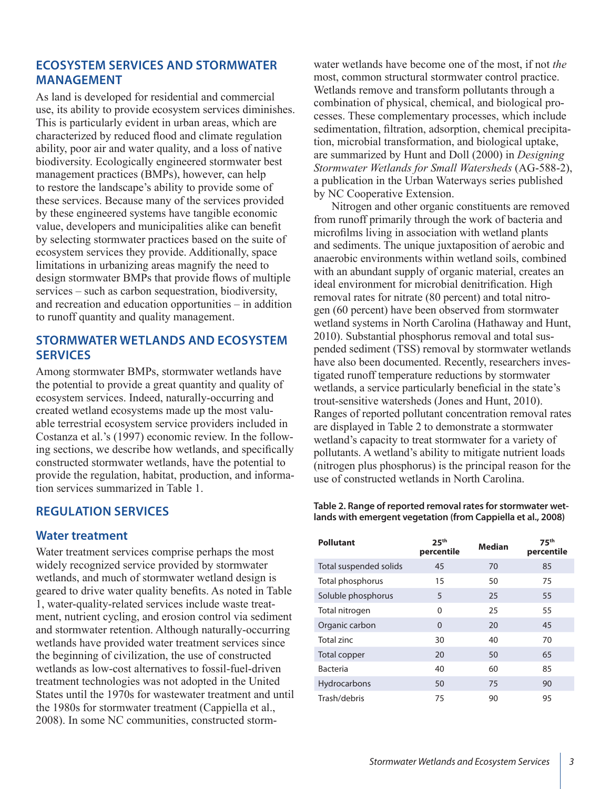# **ECOSYSTEM SERVICES AND STORMWATER MANAGEMENT**

As land is developed for residential and commercial use, its ability to provide ecosystem services diminishes. This is particularly evident in urban areas, which are characterized by reduced flood and climate regulation ability, poor air and water quality, and a loss of native biodiversity. Ecologically engineered stormwater best management practices (BMPs), however, can help to restore the landscape's ability to provide some of these services. Because many of the services provided by these engineered systems have tangible economic value, developers and municipalities alike can benefit by selecting stormwater practices based on the suite of ecosystem services they provide. Additionally, space limitations in urbanizing areas magnify the need to design stormwater BMPs that provide flows of multiple services – such as carbon sequestration, biodiversity, and recreation and education opportunities – in addition to runoff quantity and quality management.

# **STORMWATER WETLANDS AND ECOSYSTEM SERVICES**

Among stormwater BMPs, stormwater wetlands have the potential to provide a great quantity and quality of ecosystem services. Indeed, naturally-occurring and created wetland ecosystems made up the most valuable terrestrial ecosystem service providers included in Costanza et al.'s (1997) economic review. In the following sections, we describe how wetlands, and specifically constructed stormwater wetlands, have the potential to provide the regulation, habitat, production, and information services summarized in Table 1.

# **REGULATION SERVICES**

#### **Water treatment**

Water treatment services comprise perhaps the most widely recognized service provided by stormwater wetlands, and much of stormwater wetland design is geared to drive water quality benefits. As noted in Table 1, water-quality-related services include waste treatment, nutrient cycling, and erosion control via sediment and stormwater retention. Although naturally-occurring wetlands have provided water treatment services since the beginning of civilization, the use of constructed wetlands as low-cost alternatives to fossil-fuel-driven treatment technologies was not adopted in the United States until the 1970s for wastewater treatment and until the 1980s for stormwater treatment (Cappiella et al., 2008). In some NC communities, constructed stormwater wetlands have become one of the most, if not *the* most, common structural stormwater control practice. Wetlands remove and transform pollutants through a combination of physical, chemical, and biological processes. These complementary processes, which include sedimentation, filtration, adsorption, chemical precipitation, microbial transformation, and biological uptake, are summarized by Hunt and Doll (2000) in *Designing Stormwater Wetlands for Small Watersheds* (AG-588-2), a publication in the Urban Waterways series published by NC Cooperative Extension.

Nitrogen and other organic constituents are removed from runoff primarily through the work of bacteria and microfilms living in association with wetland plants and sediments. The unique juxtaposition of aerobic and anaerobic environments within wetland soils, combined with an abundant supply of organic material, creates an ideal environment for microbial denitrification. High removal rates for nitrate (80 percent) and total nitrogen (60 percent) have been observed from stormwater wetland systems in North Carolina (Hathaway and Hunt, 2010). Substantial phosphorus removal and total suspended sediment (TSS) removal by stormwater wetlands have also been documented. Recently, researchers investigated runoff temperature reductions by stormwater wetlands, a service particularly beneficial in the state's trout-sensitive watersheds (Jones and Hunt, 2010). Ranges of reported pollutant concentration removal rates are displayed in Table 2 to demonstrate a stormwater wetland's capacity to treat stormwater for a variety of pollutants. A wetland's ability to mitigate nutrient loads (nitrogen plus phosphorus) is the principal reason for the use of constructed wetlands in North Carolina.

#### **Table 2. Range of reported removal rates for stormwater wetlands with emergent vegetation (from Cappiella et al., 2008)**

| <b>Pollutant</b>       | 25 <sup>th</sup><br>percentile | <b>Median</b> | 75 <sup>th</sup><br>percentile |
|------------------------|--------------------------------|---------------|--------------------------------|
| Total suspended solids | 45                             | 70            | 85                             |
| Total phosphorus       | 15                             | 50            | 75                             |
| Soluble phosphorus     | 5                              | 25            | 55                             |
| Total nitrogen         | $\Omega$                       | 25            | 55                             |
| Organic carbon         | $\Omega$                       | 20            | 45                             |
| Total zinc             | 30                             | 40            | 70                             |
| Total copper           | 20                             | 50            | 65                             |
| <b>Bacteria</b>        | 40                             | 60            | 85                             |
| Hydrocarbons           | 50                             | 75            | 90                             |
| Trash/debris           | 75                             | 90            | 95                             |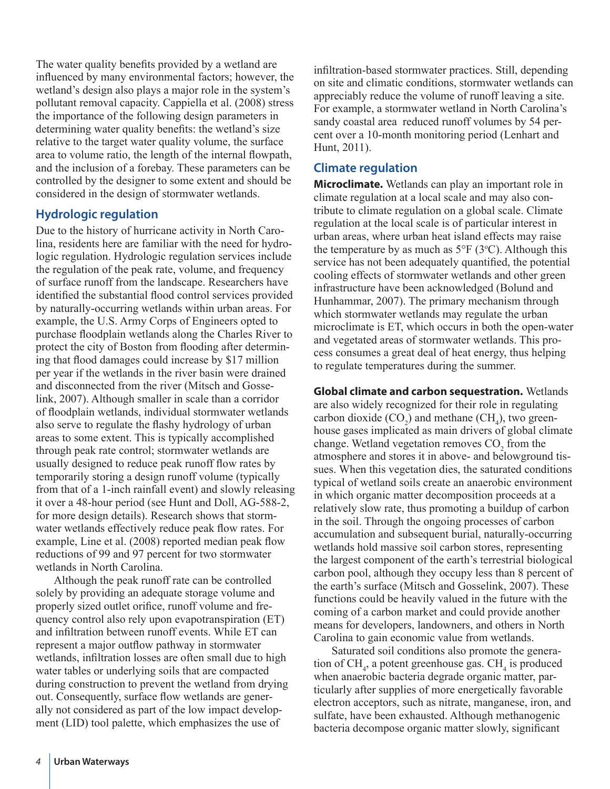The water quality benefits provided by a wetland are influenced by many environmental factors; however, the wetland's design also plays a major role in the system's pollutant removal capacity. Cappiella et al. (2008) stress the importance of the following design parameters in determining water quality benefits: the wetland's size relative to the target water quality volume, the surface area to volume ratio, the length of the internal flowpath, and the inclusion of a forebay. These parameters can be controlled by the designer to some extent and should be considered in the design of stormwater wetlands.

# **Hydrologic regulation**

Due to the history of hurricane activity in North Carolina, residents here are familiar with the need for hydrologic regulation. Hydrologic regulation services include the regulation of the peak rate, volume, and frequency of surface runoff from the landscape. Researchers have identified the substantial flood control services provided by naturally-occurring wetlands within urban areas. For example, the U.S. Army Corps of Engineers opted to purchase floodplain wetlands along the Charles River to protect the city of Boston from flooding after determining that flood damages could increase by \$17 million per year if the wetlands in the river basin were drained and disconnected from the river (Mitsch and Gosselink, 2007). Although smaller in scale than a corridor of floodplain wetlands, individual stormwater wetlands also serve to regulate the flashy hydrology of urban areas to some extent. This is typically accomplished through peak rate control; stormwater wetlands are usually designed to reduce peak runoff flow rates by temporarily storing a design runoff volume (typically from that of a 1-inch rainfall event) and slowly releasing it over a 48-hour period (see Hunt and Doll, AG-588-2, for more design details). Research shows that stormwater wetlands effectively reduce peak flow rates. For example, Line et al. (2008) reported median peak flow reductions of 99 and 97 percent for two stormwater wetlands in North Carolina.

Although the peak runoff rate can be controlled solely by providing an adequate storage volume and properly sized outlet orifice, runoff volume and frequency control also rely upon evapotranspiration (ET) and infiltration between runoff events. While ET can represent a major outflow pathway in stormwater wetlands, infiltration losses are often small due to high water tables or underlying soils that are compacted during construction to prevent the wetland from drying out. Consequently, surface flow wetlands are generally not considered as part of the low impact development (LID) tool palette, which emphasizes the use of

infiltration-based stormwater practices. Still, depending on site and climatic conditions, stormwater wetlands can appreciably reduce the volume of runoff leaving a site. For example, a stormwater wetland in North Carolina's sandy coastal area reduced runoff volumes by 54 percent over a 10-month monitoring period (Lenhart and Hunt, 2011).

#### **Climate regulation**

**Microclimate.** Wetlands can play an important role in climate regulation at a local scale and may also contribute to climate regulation on a global scale. Climate regulation at the local scale is of particular interest in urban areas, where urban heat island effects may raise the temperature by as much as  $5^{\circ}F(3^{\circ}C)$ . Although this service has not been adequately quantified, the potential cooling effects of stormwater wetlands and other green infrastructure have been acknowledged (Bolund and Hunhammar, 2007). The primary mechanism through which stormwater wetlands may regulate the urban microclimate is ET, which occurs in both the open-water and vegetated areas of stormwater wetlands. This process consumes a great deal of heat energy, thus helping to regulate temperatures during the summer.

**Global climate and carbon sequestration.** Wetlands are also widely recognized for their role in regulating carbon dioxide  $(CO_2)$  and methane  $(CH_4)$ , two greenhouse gases implicated as main drivers of global climate change. Wetland vegetation removes  $CO<sub>2</sub>$  from the atmosphere and stores it in above- and belowground tissues. When this vegetation dies, the saturated conditions typical of wetland soils create an anaerobic environment in which organic matter decomposition proceeds at a relatively slow rate, thus promoting a buildup of carbon in the soil. Through the ongoing processes of carbon accumulation and subsequent burial, naturally-occurring wetlands hold massive soil carbon stores, representing the largest component of the earth's terrestrial biological carbon pool, although they occupy less than 8 percent of the earth's surface (Mitsch and Gosselink, 2007). These functions could be heavily valued in the future with the coming of a carbon market and could provide another means for developers, landowners, and others in North Carolina to gain economic value from wetlands.

Saturated soil conditions also promote the generation of  $CH_4$ , a potent greenhouse gas.  $CH_4$  is produced when anaerobic bacteria degrade organic matter, particularly after supplies of more energetically favorable electron acceptors, such as nitrate, manganese, iron, and sulfate, have been exhausted. Although methanogenic bacteria decompose organic matter slowly, significant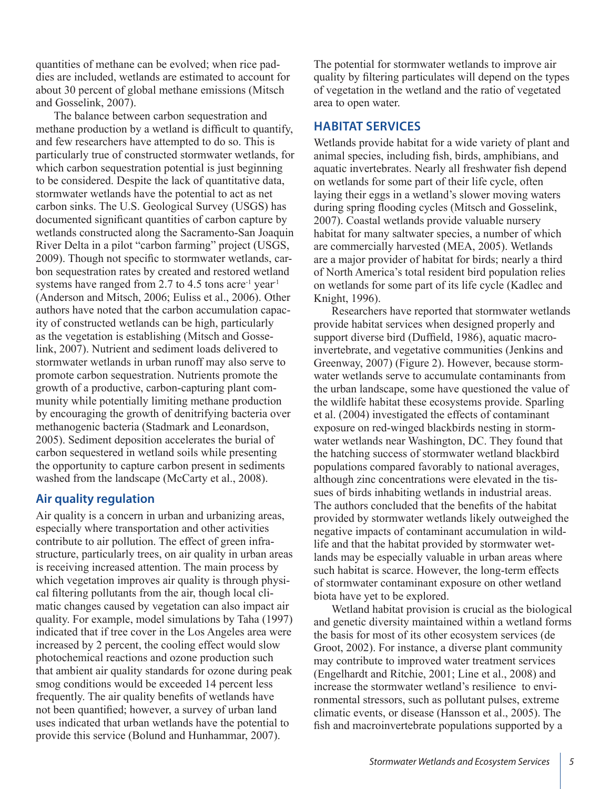quantities of methane can be evolved; when rice paddies are included, wetlands are estimated to account for about 30 percent of global methane emissions (Mitsch and Gosselink, 2007).

The balance between carbon sequestration and methane production by a wetland is difficult to quantify, and few researchers have attempted to do so. This is particularly true of constructed stormwater wetlands, for which carbon sequestration potential is just beginning to be considered. Despite the lack of quantitative data, stormwater wetlands have the potential to act as net carbon sinks. The U.S. Geological Survey (USGS) has documented significant quantities of carbon capture by wetlands constructed along the Sacramento-San Joaquin River Delta in a pilot "carbon farming" project (USGS, 2009). Though not specific to stormwater wetlands, carbon sequestration rates by created and restored wetland systems have ranged from 2.7 to 4.5 tons acre<sup>-1</sup> year<sup>-1</sup> (Anderson and Mitsch, 2006; Euliss et al., 2006). Other authors have noted that the carbon accumulation capacity of constructed wetlands can be high, particularly as the vegetation is establishing (Mitsch and Gosselink, 2007). Nutrient and sediment loads delivered to stormwater wetlands in urban runoff may also serve to promote carbon sequestration. Nutrients promote the growth of a productive, carbon-capturing plant community while potentially limiting methane production by encouraging the growth of denitrifying bacteria over methanogenic bacteria (Stadmark and Leonardson, 2005). Sediment deposition accelerates the burial of carbon sequestered in wetland soils while presenting the opportunity to capture carbon present in sediments washed from the landscape (McCarty et al., 2008).

# **Air quality regulation**

Air quality is a concern in urban and urbanizing areas, especially where transportation and other activities contribute to air pollution. The effect of green infrastructure, particularly trees, on air quality in urban areas is receiving increased attention. The main process by which vegetation improves air quality is through physical filtering pollutants from the air, though local climatic changes caused by vegetation can also impact air quality. For example, model simulations by Taha (1997) indicated that if tree cover in the Los Angeles area were increased by 2 percent, the cooling effect would slow photochemical reactions and ozone production such that ambient air quality standards for ozone during peak smog conditions would be exceeded 14 percent less frequently. The air quality benefits of wetlands have not been quantified; however, a survey of urban land uses indicated that urban wetlands have the potential to provide this service (Bolund and Hunhammar, 2007).

The potential for stormwater wetlands to improve air quality by filtering particulates will depend on the types of vegetation in the wetland and the ratio of vegetated area to open water.

# **HABITAT SERVICES**

Wetlands provide habitat for a wide variety of plant and animal species, including fish, birds, amphibians, and aquatic invertebrates. Nearly all freshwater fish depend on wetlands for some part of their life cycle, often laying their eggs in a wetland's slower moving waters during spring flooding cycles (Mitsch and Gosselink, 2007). Coastal wetlands provide valuable nursery habitat for many saltwater species, a number of which are commercially harvested (MEA, 2005). Wetlands are a major provider of habitat for birds; nearly a third of North America's total resident bird population relies on wetlands for some part of its life cycle (Kadlec and Knight, 1996).

Researchers have reported that stormwater wetlands provide habitat services when designed properly and support diverse bird (Duffield, 1986), aquatic macroinvertebrate, and vegetative communities (Jenkins and Greenway, 2007) (Figure 2). However, because stormwater wetlands serve to accumulate contaminants from the urban landscape, some have questioned the value of the wildlife habitat these ecosystems provide. Sparling et al. (2004) investigated the effects of contaminant exposure on red-winged blackbirds nesting in stormwater wetlands near Washington, DC. They found that the hatching success of stormwater wetland blackbird populations compared favorably to national averages, although zinc concentrations were elevated in the tissues of birds inhabiting wetlands in industrial areas. The authors concluded that the benefits of the habitat provided by stormwater wetlands likely outweighed the negative impacts of contaminant accumulation in wildlife and that the habitat provided by stormwater wetlands may be especially valuable in urban areas where such habitat is scarce. However, the long-term effects of stormwater contaminant exposure on other wetland biota have yet to be explored.

Wetland habitat provision is crucial as the biological and genetic diversity maintained within a wetland forms the basis for most of its other ecosystem services (de Groot, 2002). For instance, a diverse plant community may contribute to improved water treatment services (Engelhardt and Ritchie, 2001; Line et al., 2008) and increase the stormwater wetland's resilience to environmental stressors, such as pollutant pulses, extreme climatic events, or disease (Hansson et al., 2005). The fish and macroinvertebrate populations supported by a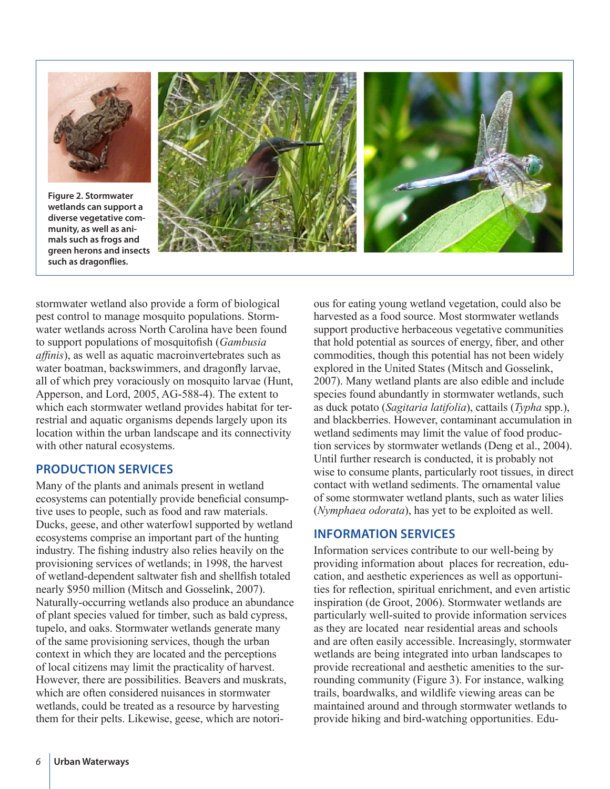

**Figure 2. Stormwater wetlands can support a diverse vegetative community, as well as animals such as frogs and green herons and insects such as dragonflies.**



stormwater wetland also provide a form of biological pest control to manage mosquito populations. Stormwater wetlands across North Carolina have been found to support populations of mosquitofish (*Gambusia affinis*), as well as aquatic macroinvertebrates such as water boatman, backswimmers, and dragonfly larvae, all of which prey voraciously on mosquito larvae (Hunt, Apperson, and Lord, 2005, AG-588-4). The extent to which each stormwater wetland provides habitat for terrestrial and aquatic organisms depends largely upon its location within the urban landscape and its connectivity with other natural ecosystems.

# **PRODUCTION SERVICES**

Many of the plants and animals present in wetland ecosystems can potentially provide beneficial consumptive uses to people, such as food and raw materials. Ducks, geese, and other waterfowl supported by wetland ecosystems comprise an important part of the hunting industry. The fishing industry also relies heavily on the provisioning services of wetlands; in 1998, the harvest of wetland-dependent saltwater fish and shellfish totaled nearly \$950 million (Mitsch and Gosselink, 2007). Naturally-occurring wetlands also produce an abundance of plant species valued for timber, such as bald cypress, tupelo, and oaks. Stormwater wetlands generate many of the same provisioning services, though the urban context in which they are located and the perceptions of local citizens may limit the practicality of harvest. However, there are possibilities. Beavers and muskrats, which are often considered nuisances in stormwater wetlands, could be treated as a resource by harvesting them for their pelts. Likewise, geese, which are notorious for eating young wetland vegetation, could also be harvested as a food source. Most stormwater wetlands support productive herbaceous vegetative communities that hold potential as sources of energy, fiber, and other commodities, though this potential has not been widely explored in the United States (Mitsch and Gosselink, 2007). Many wetland plants are also edible and include species found abundantly in stormwater wetlands, such as duck potato (*Sagitaria latifolia*), cattails (*Typha* spp.), and blackberries. However, contaminant accumulation in wetland sediments may limit the value of food production services by stormwater wetlands (Deng et al., 2004). Until further research is conducted, it is probably not wise to consume plants, particularly root tissues, in direct contact with wetland sediments. The ornamental value of some stormwater wetland plants, such as water lilies (*Nymphaea odorata*), has yet to be exploited as well.

# **INFORMATION SERVICES**

Information services contribute to our well-being by providing information about places for recreation, education, and aesthetic experiences as well as opportunities for reflection, spiritual enrichment, and even artistic inspiration (de Groot, 2006). Stormwater wetlands are particularly well-suited to provide information services as they are located near residential areas and schools and are often easily accessible. Increasingly, stormwater wetlands are being integrated into urban landscapes to provide recreational and aesthetic amenities to the surrounding community (Figure 3). For instance, walking trails, boardwalks, and wildlife viewing areas can be maintained around and through stormwater wetlands to provide hiking and bird-watching opportunities. Edu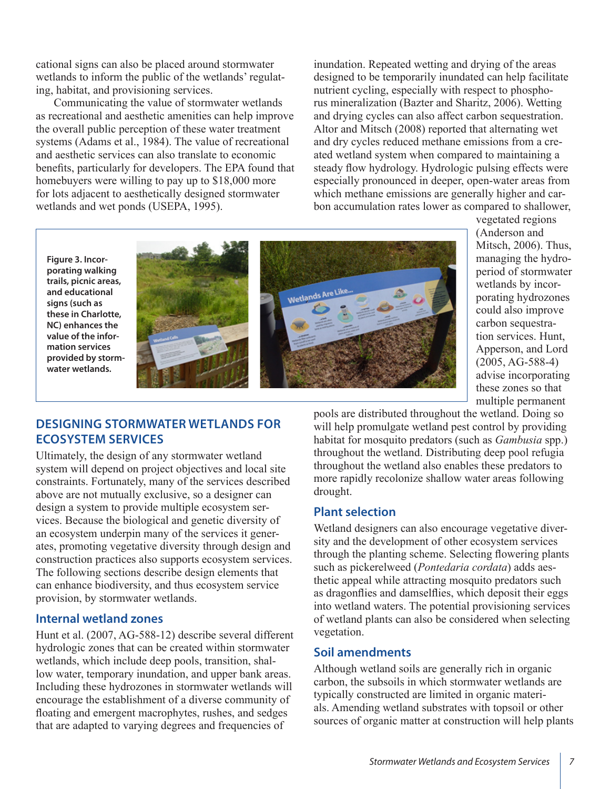cational signs can also be placed around stormwater wetlands to inform the public of the wetlands' regulating, habitat, and provisioning services.

Communicating the value of stormwater wetlands as recreational and aesthetic amenities can help improve the overall public perception of these water treatment systems (Adams et al., 1984). The value of recreational and aesthetic services can also translate to economic benefits, particularly for developers. The EPA found that homebuyers were willing to pay up to \$18,000 more for lots adjacent to aesthetically designed stormwater wetlands and wet ponds (USEPA, 1995).

inundation. Repeated wetting and drying of the areas designed to be temporarily inundated can help facilitate nutrient cycling, especially with respect to phosphorus mineralization (Bazter and Sharitz, 2006). Wetting and drying cycles can also affect carbon sequestration. Altor and Mitsch (2008) reported that alternating wet and dry cycles reduced methane emissions from a created wetland system when compared to maintaining a steady flow hydrology. Hydrologic pulsing effects were especially pronounced in deeper, open-water areas from which methane emissions are generally higher and carbon accumulation rates lower as compared to shallower,

**Figure 3. Incorporating walking trails, picnic areas, and educational signs (such as these in Charlotte, NC) enhances the value of the information services provided by stormwater wetlands.**





vegetated regions (Anderson and Mitsch, 2006). Thus, managing the hydroperiod of stormwater wetlands by incorporating hydrozones could also improve carbon sequestration services. Hunt, Apperson, and Lord (2005, AG-588-4) advise incorporating these zones so that multiple permanent

# **DESIGNING STORMWATER WETLANDS FOR ECOSYSTEM SERVICES**

Ultimately, the design of any stormwater wetland system will depend on project objectives and local site constraints. Fortunately, many of the services described above are not mutually exclusive, so a designer can design a system to provide multiple ecosystem services. Because the biological and genetic diversity of an ecosystem underpin many of the services it generates, promoting vegetative diversity through design and construction practices also supports ecosystem services. The following sections describe design elements that can enhance biodiversity, and thus ecosystem service provision, by stormwater wetlands.

#### **Internal wetland zones**

Hunt et al. (2007, AG-588-12) describe several different hydrologic zones that can be created within stormwater wetlands, which include deep pools, transition, shallow water, temporary inundation, and upper bank areas. Including these hydrozones in stormwater wetlands will encourage the establishment of a diverse community of floating and emergent macrophytes, rushes, and sedges that are adapted to varying degrees and frequencies of

pools are distributed throughout the wetland. Doing so will help promulgate wetland pest control by providing habitat for mosquito predators (such as *Gambusia* spp.) throughout the wetland. Distributing deep pool refugia throughout the wetland also enables these predators to more rapidly recolonize shallow water areas following drought.

# **Plant selection**

Wetland designers can also encourage vegetative diversity and the development of other ecosystem services through the planting scheme. Selecting flowering plants such as pickerelweed (*Pontedaria cordata*) adds aesthetic appeal while attracting mosquito predators such as dragonflies and damselflies, which deposit their eggs into wetland waters. The potential provisioning services of wetland plants can also be considered when selecting vegetation.

# **Soil amendments**

Although wetland soils are generally rich in organic carbon, the subsoils in which stormwater wetlands are typically constructed are limited in organic materials. Amending wetland substrates with topsoil or other sources of organic matter at construction will help plants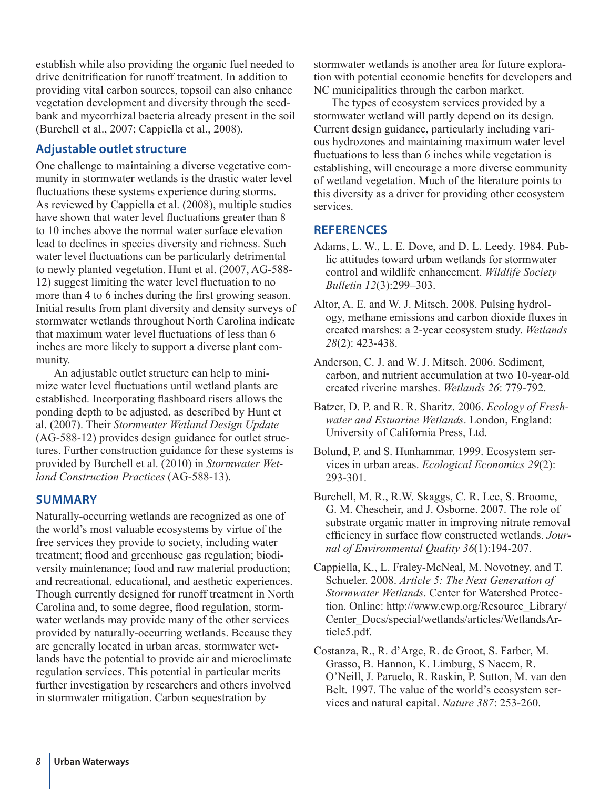establish while also providing the organic fuel needed to drive denitrification for runoff treatment. In addition to providing vital carbon sources, topsoil can also enhance vegetation development and diversity through the seedbank and mycorrhizal bacteria already present in the soil (Burchell et al., 2007; Cappiella et al., 2008).

# **Adjustable outlet structure**

One challenge to maintaining a diverse vegetative community in stormwater wetlands is the drastic water level fluctuations these systems experience during storms. As reviewed by Cappiella et al. (2008), multiple studies have shown that water level fluctuations greater than 8 to 10 inches above the normal water surface elevation lead to declines in species diversity and richness. Such water level fluctuations can be particularly detrimental to newly planted vegetation. Hunt et al. (2007, AG-588- 12) suggest limiting the water level fluctuation to no more than 4 to 6 inches during the first growing season. Initial results from plant diversity and density surveys of stormwater wetlands throughout North Carolina indicate that maximum water level fluctuations of less than 6 inches are more likely to support a diverse plant community.

An adjustable outlet structure can help to minimize water level fluctuations until wetland plants are established. Incorporating flashboard risers allows the ponding depth to be adjusted, as described by Hunt et al. (2007). Their *Stormwater Wetland Design Update*  (AG-588-12) provides design guidance for outlet structures. Further construction guidance for these systems is provided by Burchell et al. (2010) in *Stormwater Wetland Construction Practices* (AG-588-13).

# **SUMMARY**

Naturally-occurring wetlands are recognized as one of the world's most valuable ecosystems by virtue of the free services they provide to society, including water treatment; flood and greenhouse gas regulation; biodiversity maintenance; food and raw material production; and recreational, educational, and aesthetic experiences. Though currently designed for runoff treatment in North Carolina and, to some degree, flood regulation, stormwater wetlands may provide many of the other services provided by naturally-occurring wetlands. Because they are generally located in urban areas, stormwater wetlands have the potential to provide air and microclimate regulation services. This potential in particular merits further investigation by researchers and others involved in stormwater mitigation. Carbon sequestration by

stormwater wetlands is another area for future exploration with potential economic benefits for developers and NC municipalities through the carbon market.

The types of ecosystem services provided by a stormwater wetland will partly depend on its design. Current design guidance, particularly including various hydrozones and maintaining maximum water level fluctuations to less than 6 inches while vegetation is establishing, will encourage a more diverse community of wetland vegetation. Much of the literature points to this diversity as a driver for providing other ecosystem services.

# **REFERENCES**

- Adams, L. W., L. E. Dove, and D. L. Leedy. 1984. Public attitudes toward urban wetlands for stormwater control and wildlife enhancement. *Wildlife Society Bulletin 12*(3):299–303.
- Altor, A. E. and W. J. Mitsch. 2008. Pulsing hydrology, methane emissions and carbon dioxide fluxes in created marshes: a 2-year ecosystem study. *Wetlands 28*(2): 423-438.

Anderson, C. J. and W. J. Mitsch. 2006. Sediment, carbon, and nutrient accumulation at two 10-year-old created riverine marshes. *Wetlands 26*: 779-792.

Batzer, D. P. and R. R. Sharitz. 2006. *Ecology of Freshwater and Estuarine Wetlands*. London, England: University of California Press, Ltd.

- Bolund, P. and S. Hunhammar. 1999. Ecosystem services in urban areas. *Ecological Economics 29*(2): 293-301.
- Burchell, M. R., R.W. Skaggs, C. R. Lee, S. Broome, G. M. Chescheir, and J. Osborne. 2007. The role of substrate organic matter in improving nitrate removal efficiency in surface flow constructed wetlands. *Journal of Environmental Quality 36*(1):194-207.
- Cappiella, K., L. Fraley-McNeal, M. Novotney, and T. Schueler. 2008. *Article 5: The Next Generation of Stormwater Wetlands*. Center for Watershed Protection. Online: http://www.cwp.org/Resource\_Library/ Center\_Docs/special/wetlands/articles/WetlandsArticle5.pdf.
- Costanza, R., R. d'Arge, R. de Groot, S. Farber, M. Grasso, B. Hannon, K. Limburg, S Naeem, R. O'Neill, J. Paruelo, R. Raskin, P. Sutton, M. van den Belt. 1997. The value of the world's ecosystem services and natural capital. *Nature 387*: 253-260.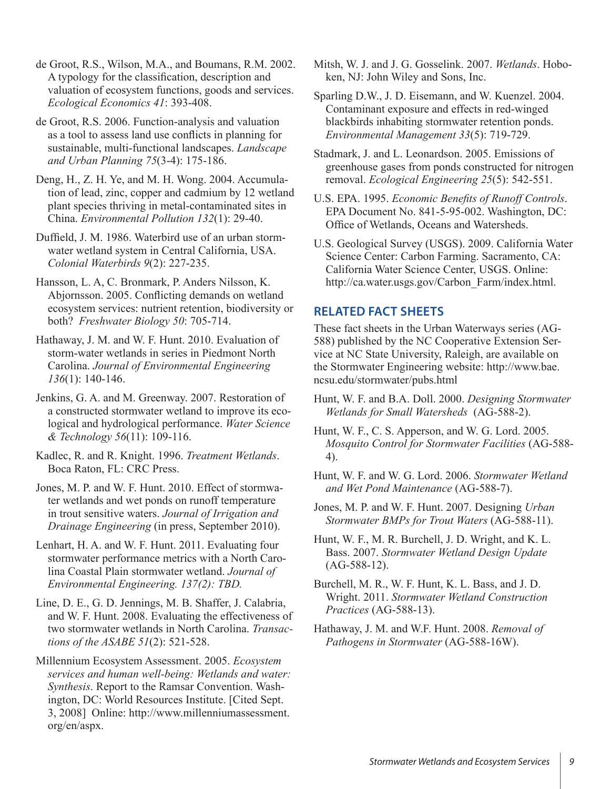de Groot, R.S., Wilson, M.A., and Boumans, R.M. 2002. A typology for the classification, description and valuation of ecosystem functions, goods and services. *Ecological Economics 41*: 393-408.

de Groot, R.S. 2006. Function-analysis and valuation as a tool to assess land use conflicts in planning for sustainable, multi-functional landscapes. *Landscape and Urban Planning 75*(3-4): 175-186.

Deng, H., Z. H. Ye, and M. H. Wong. 2004. Accumulation of lead, zinc, copper and cadmium by 12 wetland plant species thriving in metal-contaminated sites in China. *Environmental Pollution 132*(1): 29-40.

Duffield, J. M. 1986. Waterbird use of an urban stormwater wetland system in Central California, USA. *Colonial Waterbirds 9*(2): 227-235.

Hansson, L. A, C. Bronmark, P. Anders Nilsson, K. Abjornsson. 2005. Conflicting demands on wetland ecosystem services: nutrient retention, biodiversity or both? *Freshwater Biology 50*: 705-714.

Hathaway, J. M. and W. F. Hunt. 2010. Evaluation of storm-water wetlands in series in Piedmont North Carolina. *Journal of Environmental Engineering 136*(1): 140-146.

Jenkins, G. A. and M. Greenway. 2007. Restoration of a constructed stormwater wetland to improve its ecological and hydrological performance. *Water Science & Technology 56*(11): 109-116.

Kadlec, R. and R. Knight. 1996. *Treatment Wetlands*. Boca Raton, FL: CRC Press.

Jones, M. P. and W. F. Hunt. 2010. Effect of stormwater wetlands and wet ponds on runoff temperature in trout sensitive waters. *Journal of Irrigation and Drainage Engineering* (in press, September 2010).

Lenhart, H. A. and W. F. Hunt. 2011. Evaluating four stormwater performance metrics with a North Carolina Coastal Plain stormwater wetland. *Journal of Environmental Engineering. 137(2): TBD.*

Line, D. E., G. D. Jennings, M. B. Shaffer, J. Calabria, and W. F. Hunt. 2008. Evaluating the effectiveness of two stormwater wetlands in North Carolina. *Transactions of the ASABE 51*(2): 521-528.

Millennium Ecosystem Assessment. 2005. *Ecosystem services and human well-being: Wetlands and water: Synthesis*. Report to the Ramsar Convention. Washington, DC: World Resources Institute. [Cited Sept. 3, 2008] Online: http://www.millenniumassessment. org/en/aspx.

Mitsh, W. J. and J. G. Gosselink. 2007. *Wetlands*. Hoboken, NJ: John Wiley and Sons, Inc.

Sparling D.W., J. D. Eisemann, and W. Kuenzel. 2004. Contaminant exposure and effects in red-winged blackbirds inhabiting stormwater retention ponds. *Environmental Management 33*(5): 719-729.

Stadmark, J. and L. Leonardson. 2005. Emissions of greenhouse gases from ponds constructed for nitrogen removal. *Ecological Engineering 25*(5): 542-551.

U.S. EPA. 1995. *Economic Benefits of Runoff Controls*. EPA Document No. 841-5-95-002. Washington, DC: Office of Wetlands, Oceans and Watersheds.

U.S. Geological Survey (USGS). 2009. California Water Science Center: Carbon Farming. Sacramento, CA: California Water Science Center, USGS. Online: http://ca.water.usgs.gov/Carbon\_Farm/index.html.

# **RELATED FACT SHEETS**

These fact sheets in the Urban Waterways series (AG-588) published by the NC Cooperative Extension Service at NC State University, Raleigh, are available on the Stormwater Engineering website: http://www.bae. ncsu.edu/stormwater/pubs.html

Hunt, W. F. and B.A. Doll. 2000. *Designing Stormwater Wetlands for Small Watersheds* (AG-588-2).

Hunt, W. F., C. S. Apperson, and W. G. Lord. 2005. *Mosquito Control for Stormwater Facilities* (AG-588- 4).

Hunt, W. F. and W. G. Lord. 2006. *Stormwater Wetland and Wet Pond Maintenance* (AG-588-7).

Jones, M. P. and W. F. Hunt. 2007. Designing *Urban Stormwater BMPs for Trout Waters* (AG-588-11).

Hunt, W. F., M. R. Burchell, J. D. Wright, and K. L. Bass. 2007. *Stormwater Wetland Design Update* (AG-588-12).

Burchell, M. R., W. F. Hunt, K. L. Bass, and J. D. Wright. 2011. *Stormwater Wetland Construction Practices* (AG-588-13).

Hathaway, J. M. and W.F. Hunt. 2008. *Removal of Pathogens in Stormwater* (AG-588-16W).